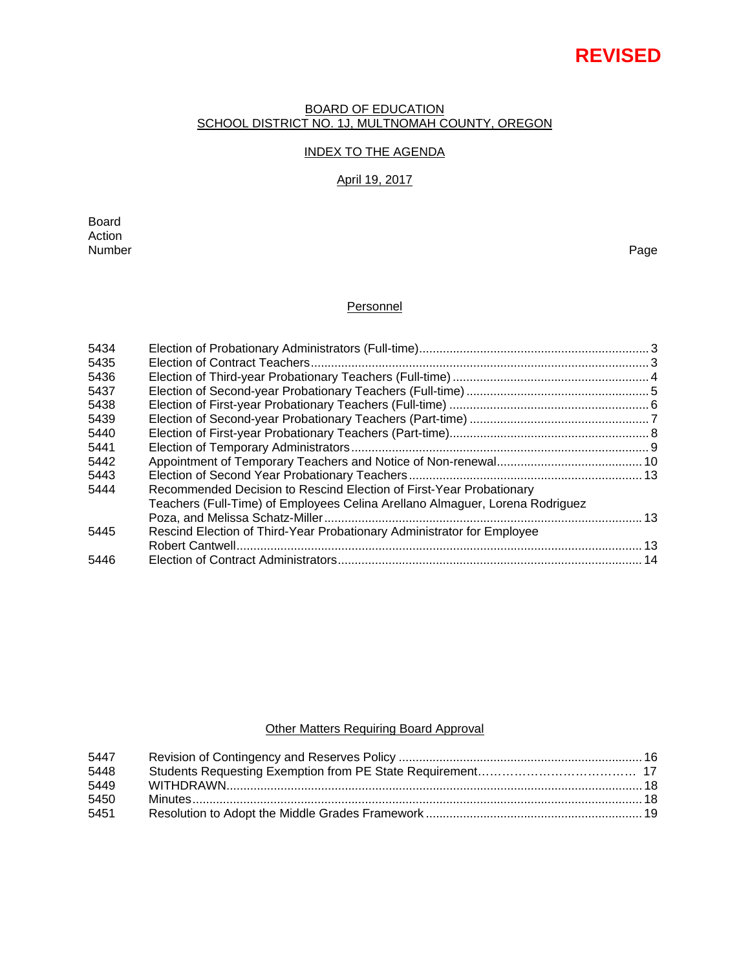# **REVISED**

#### BOARD OF EDUCATION SCHOOL DISTRICT NO. 1J, MULTNOMAH COUNTY, OREGON

# INDEX TO THE AGENDA

# April 19, 2017

Board Action<br>Number Number Page

# **Personnel**

| 5434 |                                                                              |  |
|------|------------------------------------------------------------------------------|--|
| 5435 |                                                                              |  |
| 5436 |                                                                              |  |
| 5437 |                                                                              |  |
| 5438 |                                                                              |  |
| 5439 |                                                                              |  |
| 5440 |                                                                              |  |
| 5441 |                                                                              |  |
| 5442 |                                                                              |  |
| 5443 |                                                                              |  |
| 5444 | Recommended Decision to Rescind Election of First-Year Probationary          |  |
|      | Teachers (Full-Time) of Employees Celina Arellano Almaguer, Lorena Rodriguez |  |
|      |                                                                              |  |
| 5445 | Rescind Election of Third-Year Probationary Administrator for Employee       |  |
|      |                                                                              |  |
| 5446 |                                                                              |  |
|      |                                                                              |  |

# **Other Matters Requiring Board Approval**

| 5447 |  |
|------|--|
| 5448 |  |
| 5449 |  |
| 5450 |  |
| 5451 |  |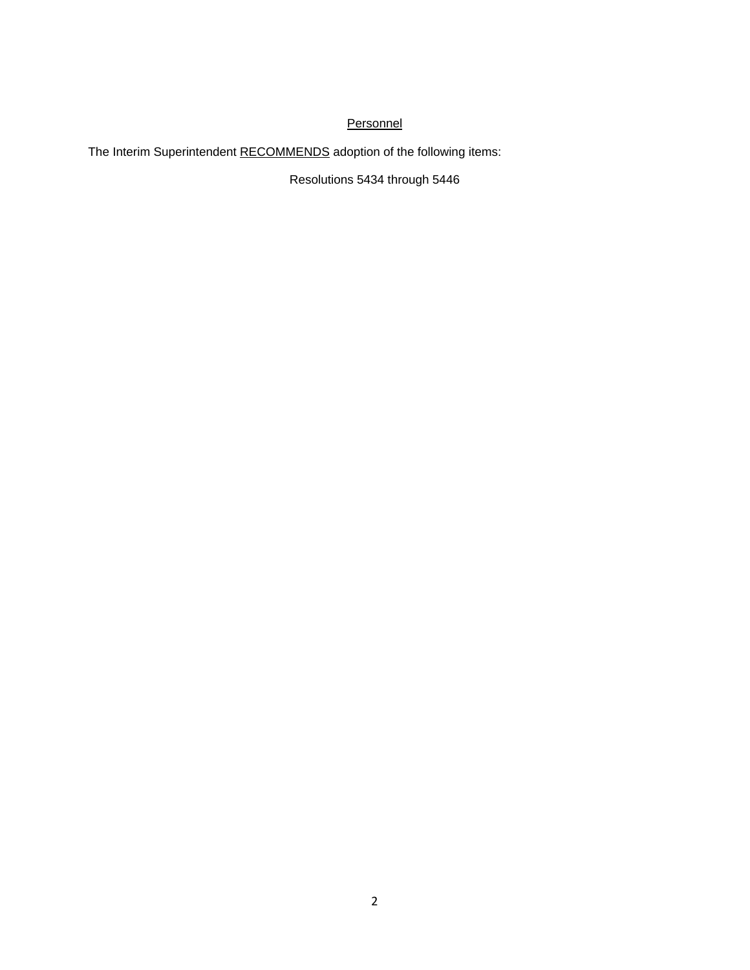# **Personnel**

The Interim Superintendent RECOMMENDS adoption of the following items:

Resolutions 5434 through 5446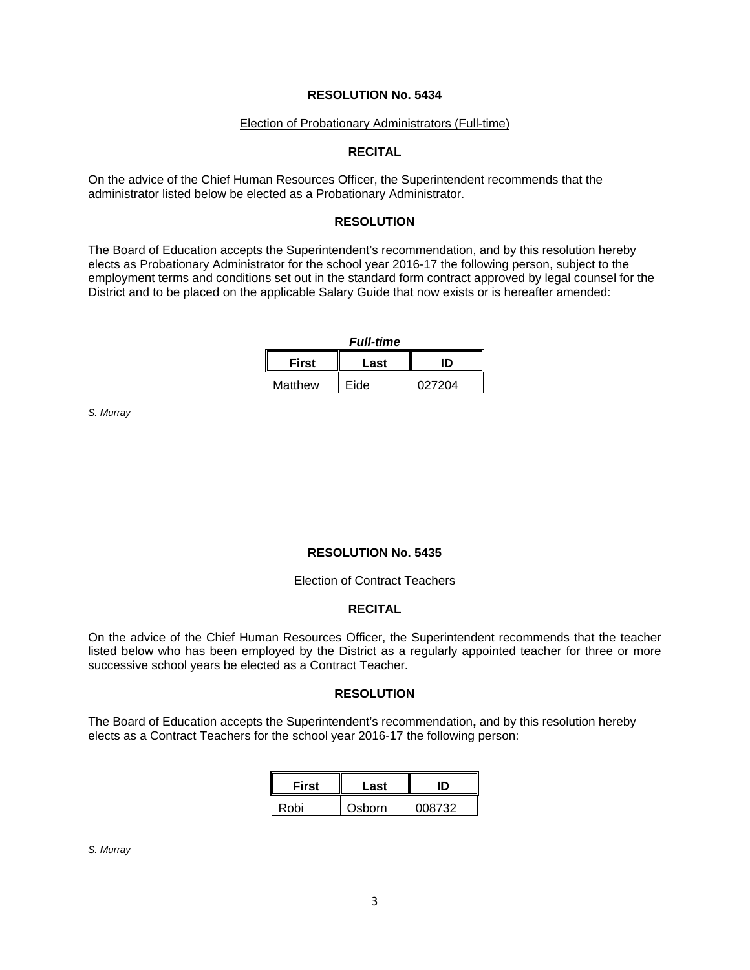#### Election of Probationary Administrators (Full-time)

# **RECITAL**

On the advice of the Chief Human Resources Officer, the Superintendent recommends that the administrator listed below be elected as a Probationary Administrator.

# **RESOLUTION**

The Board of Education accepts the Superintendent's recommendation, and by this resolution hereby elects as Probationary Administrator for the school year 2016-17 the following person, subject to the employment terms and conditions set out in the standard form contract approved by legal counsel for the District and to be placed on the applicable Salary Guide that now exists or is hereafter amended:

*Full-time*

| <b>First</b> | Last | ID     |  |
|--------------|------|--------|--|
| Matthew      | Eide | 027204 |  |

*S. Murray* 

# **RESOLUTION No. 5435**

#### Election of Contract Teachers

# **RECITAL**

On the advice of the Chief Human Resources Officer, the Superintendent recommends that the teacher listed below who has been employed by the District as a regularly appointed teacher for three or more successive school years be elected as a Contract Teacher.

# **RESOLUTION**

The Board of Education accepts the Superintendent's recommendation**,** and by this resolution hereby elects as a Contract Teachers for the school year 2016-17 the following person:

| <b>First</b><br>Last |        | ID     |  |
|----------------------|--------|--------|--|
| Robi                 | Osborn | 008732 |  |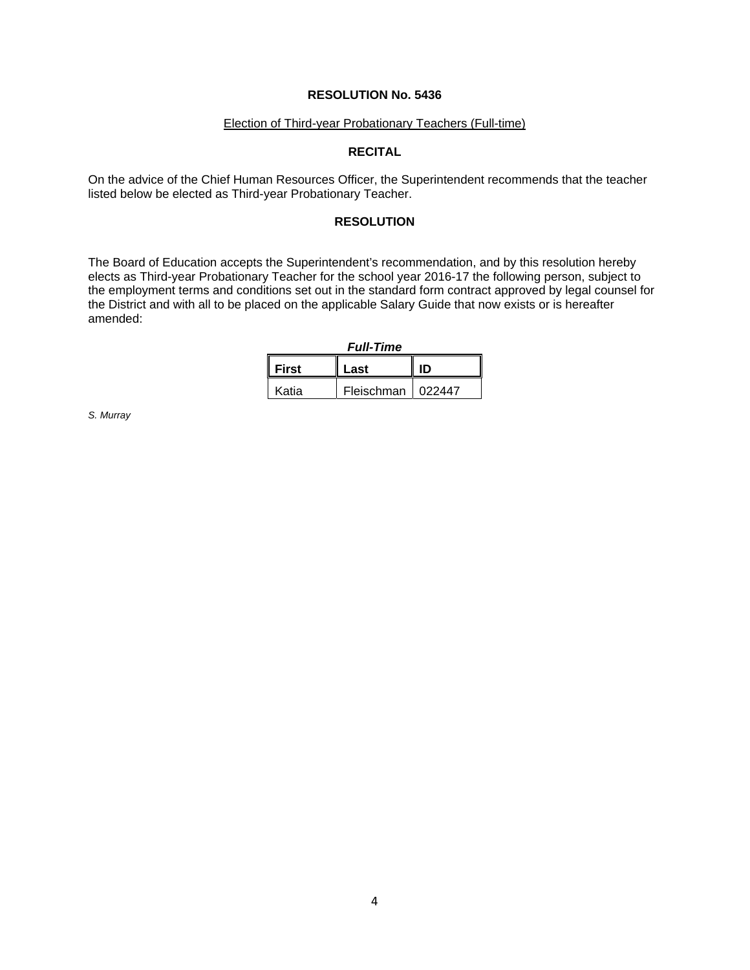#### Election of Third-year Probationary Teachers (Full-time)

# **RECITAL**

On the advice of the Chief Human Resources Officer, the Superintendent recommends that the teacher listed below be elected as Third-year Probationary Teacher.

#### **RESOLUTION**

The Board of Education accepts the Superintendent's recommendation, and by this resolution hereby elects as Third-year Probationary Teacher for the school year 2016-17 the following person, subject to the employment terms and conditions set out in the standard form contract approved by legal counsel for the District and with all to be placed on the applicable Salary Guide that now exists or is hereafter amended:

| <b>Full-Time</b>           |                     |  |  |  |
|----------------------------|---------------------|--|--|--|
| <b>First</b><br>ID<br>Last |                     |  |  |  |
| Katia                      | Fleischman   022447 |  |  |  |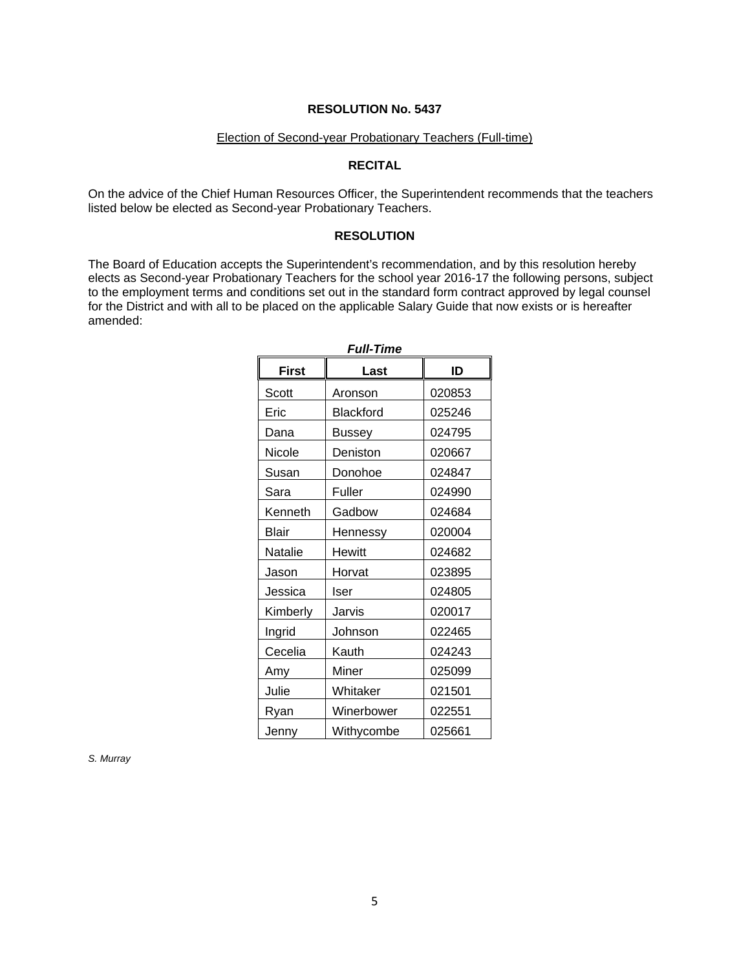#### Election of Second-year Probationary Teachers (Full-time)

# **RECITAL**

On the advice of the Chief Human Resources Officer, the Superintendent recommends that the teachers listed below be elected as Second-year Probationary Teachers.

#### **RESOLUTION**

The Board of Education accepts the Superintendent's recommendation, and by this resolution hereby elects as Second-year Probationary Teachers for the school year 2016-17 the following persons, subject to the employment terms and conditions set out in the standard form contract approved by legal counsel for the District and with all to be placed on the applicable Salary Guide that now exists or is hereafter amended:

| <b>First</b> | Last       | ID     |  |  |
|--------------|------------|--------|--|--|
| Scott        | Aronson    | 020853 |  |  |
| Eric         | Blackford  | 025246 |  |  |
| Dana         | Bussey     | 024795 |  |  |
| Nicole       | Deniston   | 020667 |  |  |
| Susan        | Donohoe    | 024847 |  |  |
| Sara         | Fuller     | 024990 |  |  |
| Kenneth      | Gadbow     | 024684 |  |  |
| <b>Blair</b> | Hennessy   | 020004 |  |  |
| Natalie      | Hewitt     | 024682 |  |  |
| Jason        | Horvat     | 023895 |  |  |
| Jessica      | Iser       | 024805 |  |  |
| Kimberly     | Jarvis     | 020017 |  |  |
| Ingrid       | Johnson    | 022465 |  |  |
| Cecelia      | Kauth      | 024243 |  |  |
| Amy          | Miner      | 025099 |  |  |
| Julie        | Whitaker   | 021501 |  |  |
| Ryan         | Winerbower | 022551 |  |  |
| Jenny        | Withycombe | 025661 |  |  |

*Full-Time*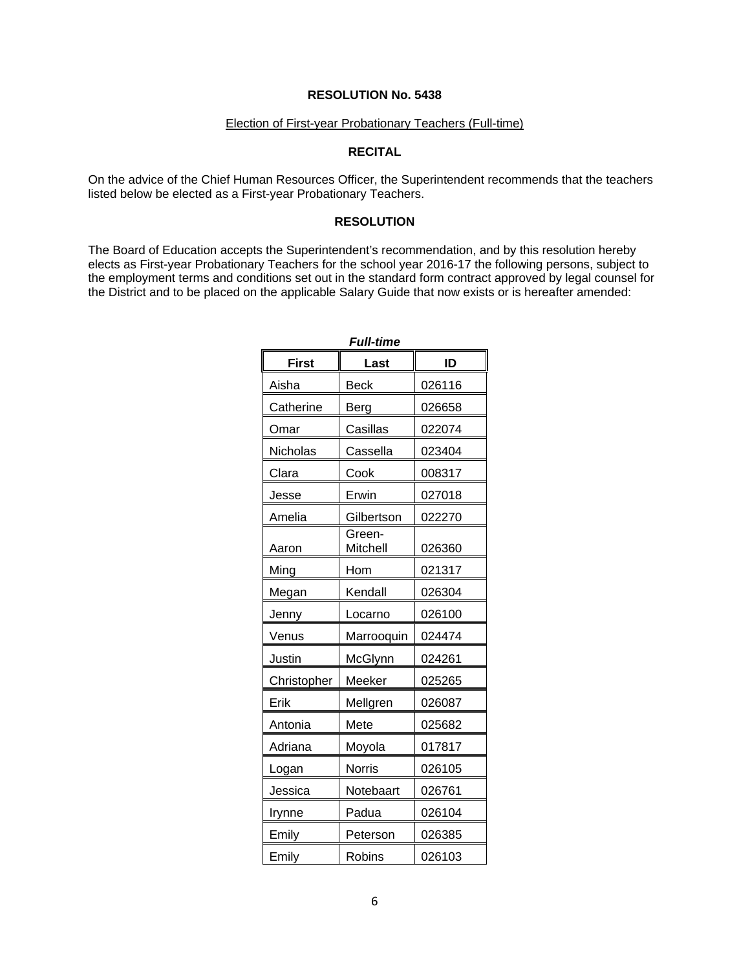#### Election of First-year Probationary Teachers (Full-time)

# **RECITAL**

On the advice of the Chief Human Resources Officer, the Superintendent recommends that the teachers listed below be elected as a First-year Probationary Teachers.

#### **RESOLUTION**

The Board of Education accepts the Superintendent's recommendation, and by this resolution hereby elects as First-year Probationary Teachers for the school year 2016-17 the following persons, subject to the employment terms and conditions set out in the standard form contract approved by legal counsel for the District and to be placed on the applicable Salary Guide that now exists or is hereafter amended:

| <b>Full-time</b> |                    |        |  |  |
|------------------|--------------------|--------|--|--|
| <b>First</b>     | Last               | ID     |  |  |
| Aisha            | <b>Beck</b>        | 026116 |  |  |
| Catherine        | Berg               | 026658 |  |  |
| Omar             | Casillas           | 022074 |  |  |
| Nicholas         | Cassella           | 023404 |  |  |
| Clara            | Cook               | 008317 |  |  |
| Jesse            | Erwin              | 027018 |  |  |
| Amelia           | Gilbertson         | 022270 |  |  |
| Aaron            | Green-<br>Mitchell | 026360 |  |  |
| Ming             | Hom                | 021317 |  |  |
| Megan            | Kendall            | 026304 |  |  |
| Jenny            | Locarno            | 026100 |  |  |
| Venus            | Marrooquin         | 024474 |  |  |
| Justin           | McGlynn            | 024261 |  |  |
| Christopher      | Meeker             | 025265 |  |  |
| Erik             | Mellgren           | 026087 |  |  |
| Antonia          | Mete               | 025682 |  |  |
| Adriana          | Moyola             | 017817 |  |  |
| Logan            | <b>Norris</b>      | 026105 |  |  |
| Jessica          | Notebaart          | 026761 |  |  |
| Irynne           | Padua              | 026104 |  |  |
| Emily            | Peterson           | 026385 |  |  |
| Emily            | Robins             | 026103 |  |  |

6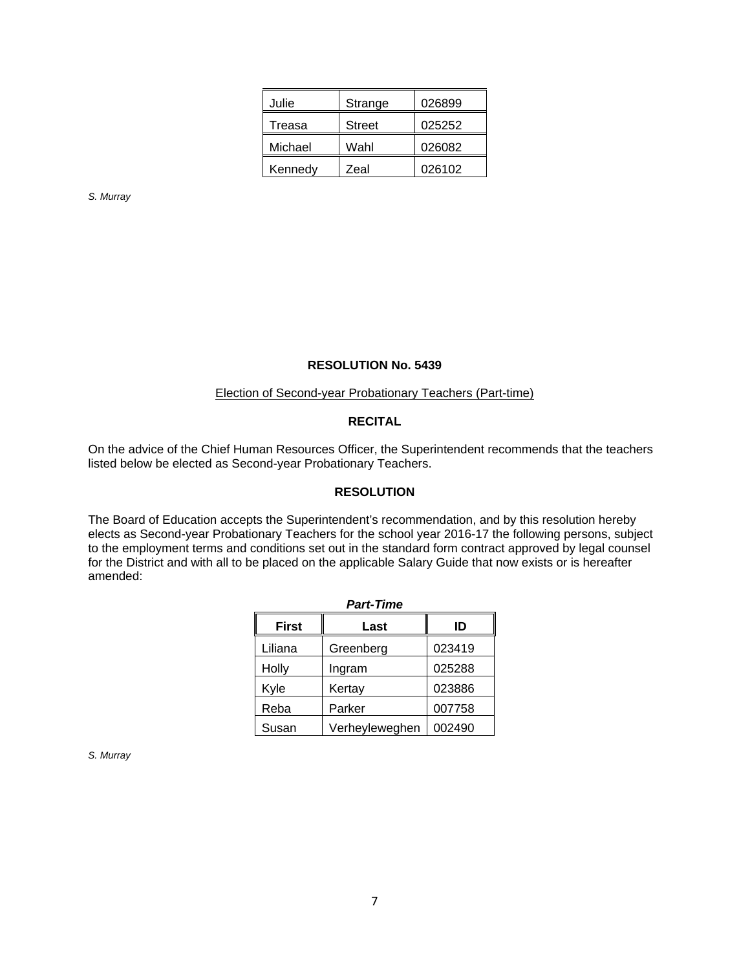| Julie   | Strange       | 026899 |  |
|---------|---------------|--------|--|
| Treasa  | <b>Street</b> | 025252 |  |
| Michael | Wahl          | 026082 |  |
| Kennedy | Zeal          | 026102 |  |

*S. Murray* 

#### **RESOLUTION No. 5439**

#### Election of Second-year Probationary Teachers (Part-time)

# **RECITAL**

On the advice of the Chief Human Resources Officer, the Superintendent recommends that the teachers listed below be elected as Second-year Probationary Teachers.

# **RESOLUTION**

The Board of Education accepts the Superintendent's recommendation, and by this resolution hereby elects as Second-year Probationary Teachers for the school year 2016-17 the following persons, subject to the employment terms and conditions set out in the standard form contract approved by legal counsel for the District and with all to be placed on the applicable Salary Guide that now exists or is hereafter amended:

| <b>Part-Time</b> |                |        |  |  |
|------------------|----------------|--------|--|--|
| <b>First</b>     | ID             |        |  |  |
| Liliana          | Greenberg      | 023419 |  |  |
| Holly            | Ingram         | 025288 |  |  |
| Kyle             | Kertay         | 023886 |  |  |
| Reba             | Parker         | 007758 |  |  |
| Susan            | Verheyleweghen | 002490 |  |  |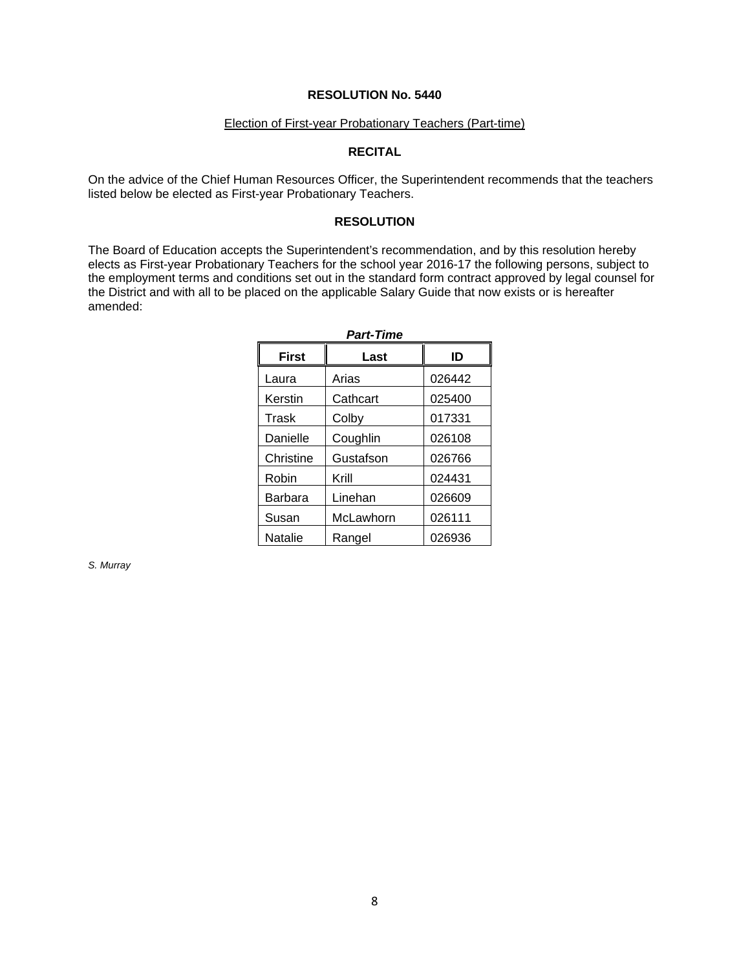#### Election of First-year Probationary Teachers (Part-time)

# **RECITAL**

On the advice of the Chief Human Resources Officer, the Superintendent recommends that the teachers listed below be elected as First-year Probationary Teachers.

#### **RESOLUTION**

The Board of Education accepts the Superintendent's recommendation, and by this resolution hereby elects as First-year Probationary Teachers for the school year 2016-17 the following persons, subject to the employment terms and conditions set out in the standard form contract approved by legal counsel for the District and with all to be placed on the applicable Salary Guide that now exists or is hereafter amended:

| <b>Part-Time</b> |           |        |  |  |
|------------------|-----------|--------|--|--|
| <b>First</b>     | Last      | ID     |  |  |
| Laura            | Arias     | 026442 |  |  |
| Kerstin          | Cathcart  | 025400 |  |  |
| Trask            | Colby     | 017331 |  |  |
| Danielle         | Coughlin  | 026108 |  |  |
| Christine        | Gustafson | 026766 |  |  |
| Robin            | Krill     | 024431 |  |  |
| Barbara          | Linehan   | 026609 |  |  |
| Susan            | McLawhorn | 026111 |  |  |
| Natalie          | Rangel    | 026936 |  |  |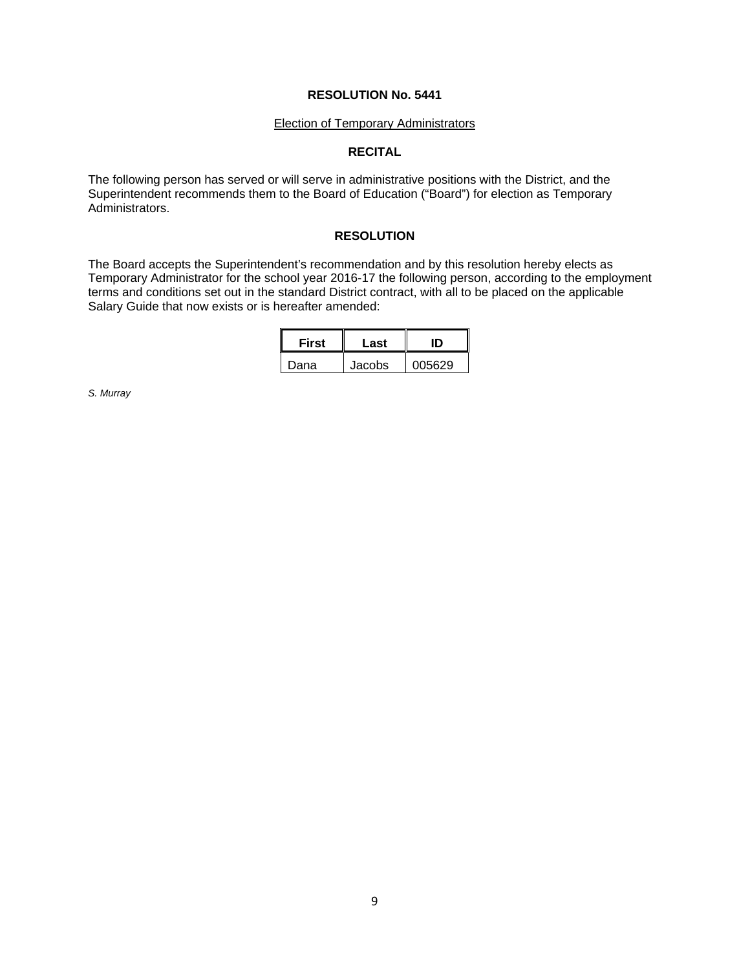#### Election of Temporary Administrators

# **RECITAL**

The following person has served or will serve in administrative positions with the District, and the Superintendent recommends them to the Board of Education ("Board") for election as Temporary Administrators.

# **RESOLUTION**

The Board accepts the Superintendent's recommendation and by this resolution hereby elects as Temporary Administrator for the school year 2016-17 the following person, according to the employment terms and conditions set out in the standard District contract, with all to be placed on the applicable Salary Guide that now exists or is hereafter amended:

| <b>First</b> | Last   |        |  |
|--------------|--------|--------|--|
| Dana         | Jacobs | 005629 |  |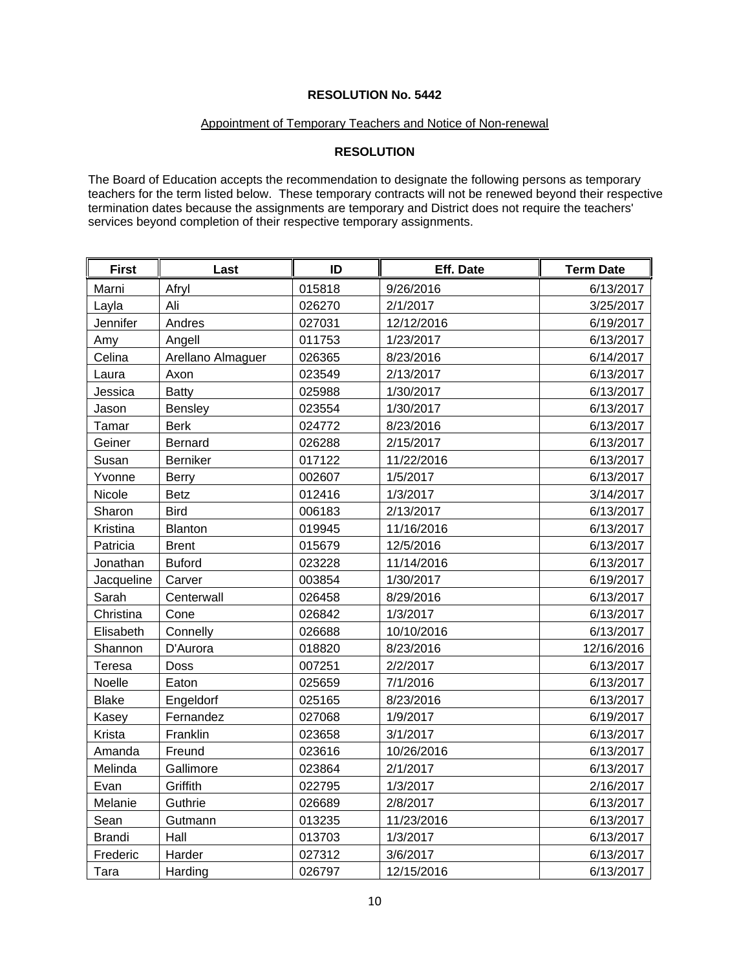#### Appointment of Temporary Teachers and Notice of Non-renewal

# **RESOLUTION**

The Board of Education accepts the recommendation to designate the following persons as temporary teachers for the term listed below. These temporary contracts will not be renewed beyond their respective termination dates because the assignments are temporary and District does not require the teachers' services beyond completion of their respective temporary assignments.

| <b>First</b>  | Last              | ID     | Eff. Date  | <b>Term Date</b> |
|---------------|-------------------|--------|------------|------------------|
| Marni         | Afryl             | 015818 | 9/26/2016  | 6/13/2017        |
| Layla         | Ali               | 026270 | 2/1/2017   | 3/25/2017        |
| Jennifer      | Andres            | 027031 | 12/12/2016 | 6/19/2017        |
| Amy           | Angell            | 011753 | 1/23/2017  | 6/13/2017        |
| Celina        | Arellano Almaguer | 026365 | 8/23/2016  | 6/14/2017        |
| Laura         | Axon              | 023549 | 2/13/2017  | 6/13/2017        |
| Jessica       | <b>Batty</b>      | 025988 | 1/30/2017  | 6/13/2017        |
| Jason         | <b>Bensley</b>    | 023554 | 1/30/2017  | 6/13/2017        |
| Tamar         | <b>Berk</b>       | 024772 | 8/23/2016  | 6/13/2017        |
| Geiner        | Bernard           | 026288 | 2/15/2017  | 6/13/2017        |
| Susan         | <b>Berniker</b>   | 017122 | 11/22/2016 | 6/13/2017        |
| Yvonne        | <b>Berry</b>      | 002607 | 1/5/2017   | 6/13/2017        |
| Nicole        | <b>Betz</b>       | 012416 | 1/3/2017   | 3/14/2017        |
| Sharon        | <b>Bird</b>       | 006183 | 2/13/2017  | 6/13/2017        |
| Kristina      | Blanton           | 019945 | 11/16/2016 | 6/13/2017        |
| Patricia      | <b>Brent</b>      | 015679 | 12/5/2016  | 6/13/2017        |
| Jonathan      | <b>Buford</b>     | 023228 | 11/14/2016 | 6/13/2017        |
| Jacqueline    | Carver            | 003854 | 1/30/2017  | 6/19/2017        |
| Sarah         | Centerwall        | 026458 | 8/29/2016  | 6/13/2017        |
| Christina     | Cone              | 026842 | 1/3/2017   | 6/13/2017        |
| Elisabeth     | Connelly          | 026688 | 10/10/2016 | 6/13/2017        |
| Shannon       | D'Aurora          | 018820 | 8/23/2016  | 12/16/2016       |
| Teresa        | Doss              | 007251 | 2/2/2017   | 6/13/2017        |
| Noelle        | Eaton             | 025659 | 7/1/2016   | 6/13/2017        |
| <b>Blake</b>  | Engeldorf         | 025165 | 8/23/2016  | 6/13/2017        |
| Kasey         | Fernandez         | 027068 | 1/9/2017   | 6/19/2017        |
| Krista        | Franklin          | 023658 | 3/1/2017   | 6/13/2017        |
| Amanda        | Freund            | 023616 | 10/26/2016 | 6/13/2017        |
| Melinda       | Gallimore         | 023864 | 2/1/2017   | 6/13/2017        |
| Evan          | Griffith          | 022795 | 1/3/2017   | 2/16/2017        |
| Melanie       | Guthrie           | 026689 | 2/8/2017   | 6/13/2017        |
| Sean          | Gutmann           | 013235 | 11/23/2016 | 6/13/2017        |
| <b>Brandi</b> | Hall              | 013703 | 1/3/2017   | 6/13/2017        |
| Frederic      | Harder            | 027312 | 3/6/2017   | 6/13/2017        |
| Tara          | Harding           | 026797 | 12/15/2016 | 6/13/2017        |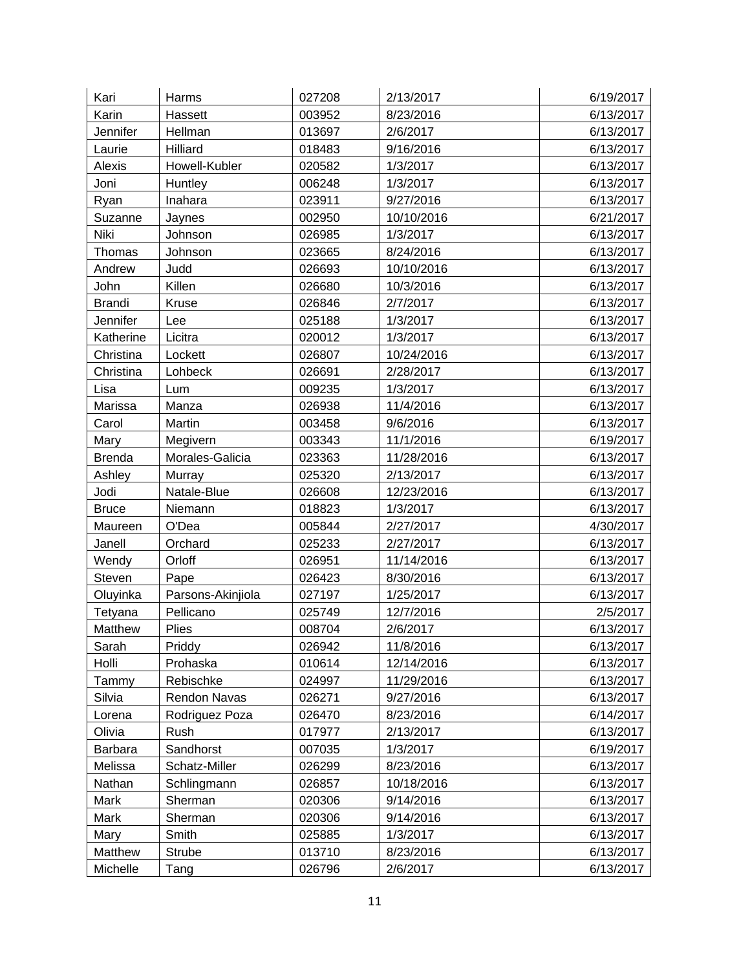| Kari           | Harms               | 027208 | 2/13/2017  | 6/19/2017 |
|----------------|---------------------|--------|------------|-----------|
| Karin          | Hassett             | 003952 | 8/23/2016  | 6/13/2017 |
| Jennifer       | Hellman             | 013697 | 2/6/2017   | 6/13/2017 |
| Laurie         | Hilliard            | 018483 | 9/16/2016  | 6/13/2017 |
| Alexis         | Howell-Kubler       | 020582 | 1/3/2017   | 6/13/2017 |
| Joni           | Huntley             | 006248 | 1/3/2017   | 6/13/2017 |
| Ryan           | Inahara             | 023911 | 9/27/2016  | 6/13/2017 |
| Suzanne        | Jaynes              | 002950 | 10/10/2016 | 6/21/2017 |
| Niki           | Johnson             | 026985 | 1/3/2017   | 6/13/2017 |
| Thomas         | Johnson             | 023665 | 8/24/2016  | 6/13/2017 |
| Andrew         | Judd                | 026693 | 10/10/2016 | 6/13/2017 |
| John           | Killen              | 026680 | 10/3/2016  | 6/13/2017 |
| <b>Brandi</b>  | Kruse               | 026846 | 2/7/2017   | 6/13/2017 |
| Jennifer       | Lee                 | 025188 | 1/3/2017   | 6/13/2017 |
| Katherine      | Licitra             | 020012 | 1/3/2017   | 6/13/2017 |
| Christina      | Lockett             | 026807 | 10/24/2016 | 6/13/2017 |
| Christina      | Lohbeck             | 026691 | 2/28/2017  | 6/13/2017 |
| Lisa           | Lum                 | 009235 | 1/3/2017   | 6/13/2017 |
| Marissa        | Manza               | 026938 | 11/4/2016  | 6/13/2017 |
| Carol          | Martin              | 003458 | 9/6/2016   | 6/13/2017 |
| Mary           | Megivern            | 003343 | 11/1/2016  | 6/19/2017 |
| <b>Brenda</b>  | Morales-Galicia     | 023363 | 11/28/2016 | 6/13/2017 |
| Ashley         | Murray              | 025320 | 2/13/2017  | 6/13/2017 |
| Jodi           | Natale-Blue         | 026608 | 12/23/2016 | 6/13/2017 |
| <b>Bruce</b>   | Niemann             | 018823 | 1/3/2017   | 6/13/2017 |
| Maureen        | O'Dea               | 005844 | 2/27/2017  | 4/30/2017 |
| Janell         | Orchard             | 025233 | 2/27/2017  | 6/13/2017 |
| Wendy          | Orloff              | 026951 | 11/14/2016 | 6/13/2017 |
| Steven         | Pape                | 026423 | 8/30/2016  | 6/13/2017 |
| Oluyinka       | Parsons-Akinjiola   | 027197 | 1/25/2017  | 6/13/2017 |
| Tetyana        | Pellicano           | 025749 | 12/7/2016  | 2/5/2017  |
| Matthew        | Plies               | 008704 | 2/6/2017   | 6/13/2017 |
| Sarah          | Priddy              | 026942 | 11/8/2016  | 6/13/2017 |
| Holli          | Prohaska            | 010614 | 12/14/2016 | 6/13/2017 |
| Tammy          | Rebischke           | 024997 | 11/29/2016 | 6/13/2017 |
| Silvia         | <b>Rendon Navas</b> | 026271 | 9/27/2016  | 6/13/2017 |
| Lorena         | Rodriguez Poza      | 026470 | 8/23/2016  | 6/14/2017 |
| Olivia         | Rush                | 017977 | 2/13/2017  | 6/13/2017 |
| <b>Barbara</b> | Sandhorst           | 007035 | 1/3/2017   | 6/19/2017 |
| Melissa        | Schatz-Miller       | 026299 | 8/23/2016  | 6/13/2017 |
| Nathan         | Schlingmann         | 026857 | 10/18/2016 | 6/13/2017 |
| Mark           | Sherman             | 020306 | 9/14/2016  | 6/13/2017 |
| Mark           | Sherman             | 020306 | 9/14/2016  | 6/13/2017 |
| Mary           | Smith               | 025885 | 1/3/2017   | 6/13/2017 |
| Matthew        | Strube              | 013710 | 8/23/2016  | 6/13/2017 |
| Michelle       | Tang                | 026796 | 2/6/2017   | 6/13/2017 |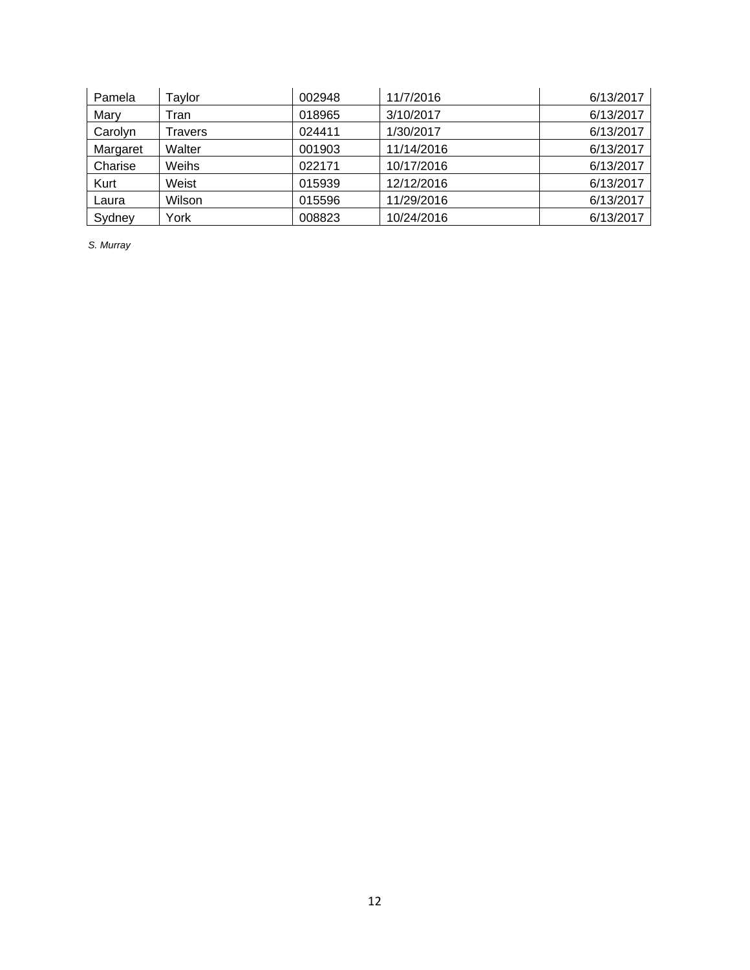| Pamela   | Taylor  | 002948 | 11/7/2016  | 6/13/2017 |
|----------|---------|--------|------------|-----------|
| Mary     | Tran    | 018965 | 3/10/2017  | 6/13/2017 |
| Carolyn  | Travers | 024411 | 1/30/2017  | 6/13/2017 |
| Margaret | Walter  | 001903 | 11/14/2016 | 6/13/2017 |
| Charise  | Weihs   | 022171 | 10/17/2016 | 6/13/2017 |
| Kurt     | Weist   | 015939 | 12/12/2016 | 6/13/2017 |
| Laura    | Wilson  | 015596 | 11/29/2016 | 6/13/2017 |
| Sydney   | York    | 008823 | 10/24/2016 | 6/13/2017 |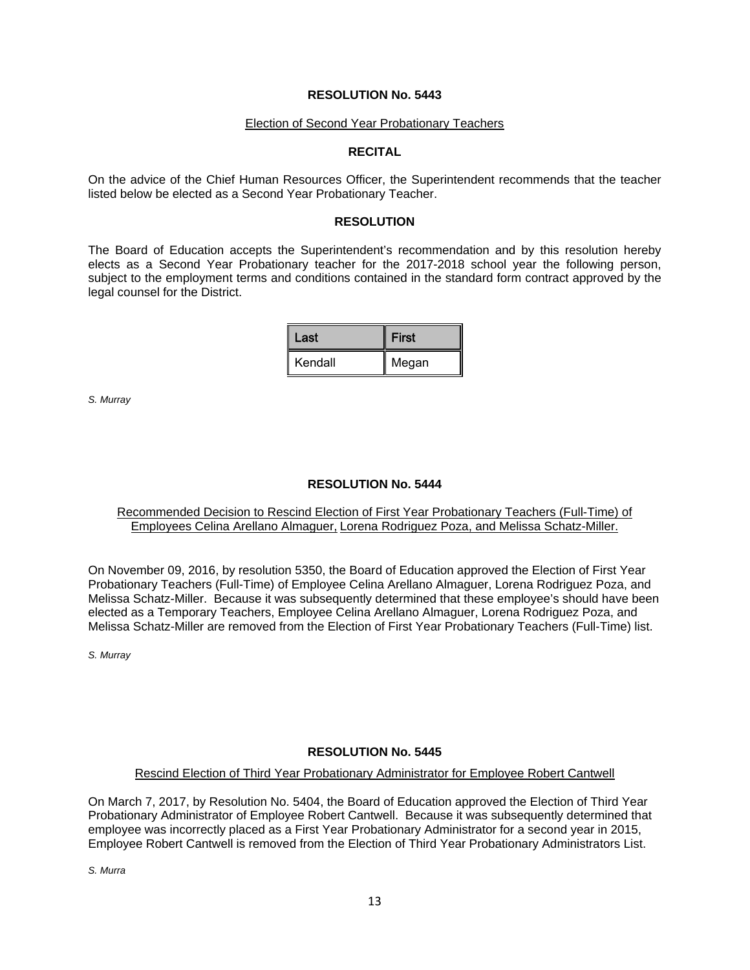#### Election of Second Year Probationary Teachers

# **RECITAL**

On the advice of the Chief Human Resources Officer, the Superintendent recommends that the teacher listed below be elected as a Second Year Probationary Teacher.

#### **RESOLUTION**

The Board of Education accepts the Superintendent's recommendation and by this resolution hereby elects as a Second Year Probationary teacher for the 2017-2018 school year the following person, subject to the employment terms and conditions contained in the standard form contract approved by the legal counsel for the District.

| Last    | <b>First</b> |
|---------|--------------|
| Kendall | Megan        |

*S. Murray*

# **RESOLUTION No. 5444**

# Recommended Decision to Rescind Election of First Year Probationary Teachers (Full-Time) of Employees Celina Arellano Almaguer, Lorena Rodriguez Poza, and Melissa Schatz-Miller.

On November 09, 2016, by resolution 5350, the Board of Education approved the Election of First Year Probationary Teachers (Full-Time) of Employee Celina Arellano Almaguer, Lorena Rodriguez Poza, and Melissa Schatz-Miller. Because it was subsequently determined that these employee's should have been elected as a Temporary Teachers, Employee Celina Arellano Almaguer, Lorena Rodriguez Poza, and Melissa Schatz-Miller are removed from the Election of First Year Probationary Teachers (Full-Time) list.

*S. Murray*

# **RESOLUTION No. 5445**

#### Rescind Election of Third Year Probationary Administrator for Employee Robert Cantwell

On March 7, 2017, by Resolution No. 5404, the Board of Education approved the Election of Third Year Probationary Administrator of Employee Robert Cantwell. Because it was subsequently determined that employee was incorrectly placed as a First Year Probationary Administrator for a second year in 2015, Employee Robert Cantwell is removed from the Election of Third Year Probationary Administrators List.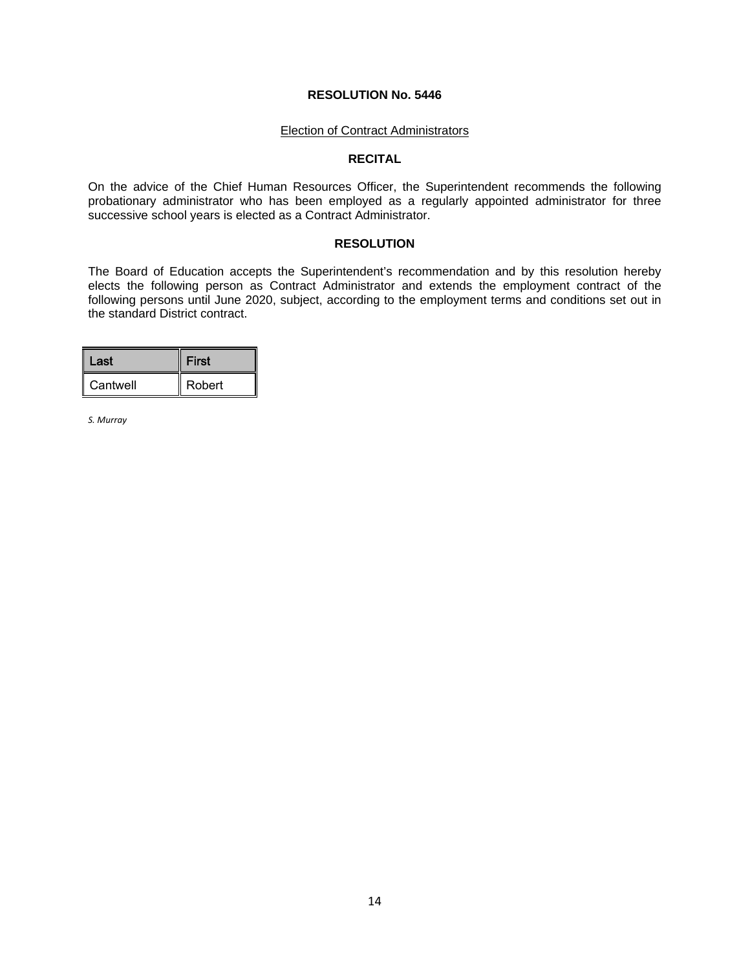#### Election of Contract Administrators

# **RECITAL**

On the advice of the Chief Human Resources Officer, the Superintendent recommends the following probationary administrator who has been employed as a regularly appointed administrator for three successive school years is elected as a Contract Administrator.

#### **RESOLUTION**

The Board of Education accepts the Superintendent's recommendation and by this resolution hereby elects the following person as Contract Administrator and extends the employment contract of the following persons until June 2020, subject, according to the employment terms and conditions set out in the standard District contract.

| Last     | <b>First</b> |  |
|----------|--------------|--|
| Cantwell | Robert       |  |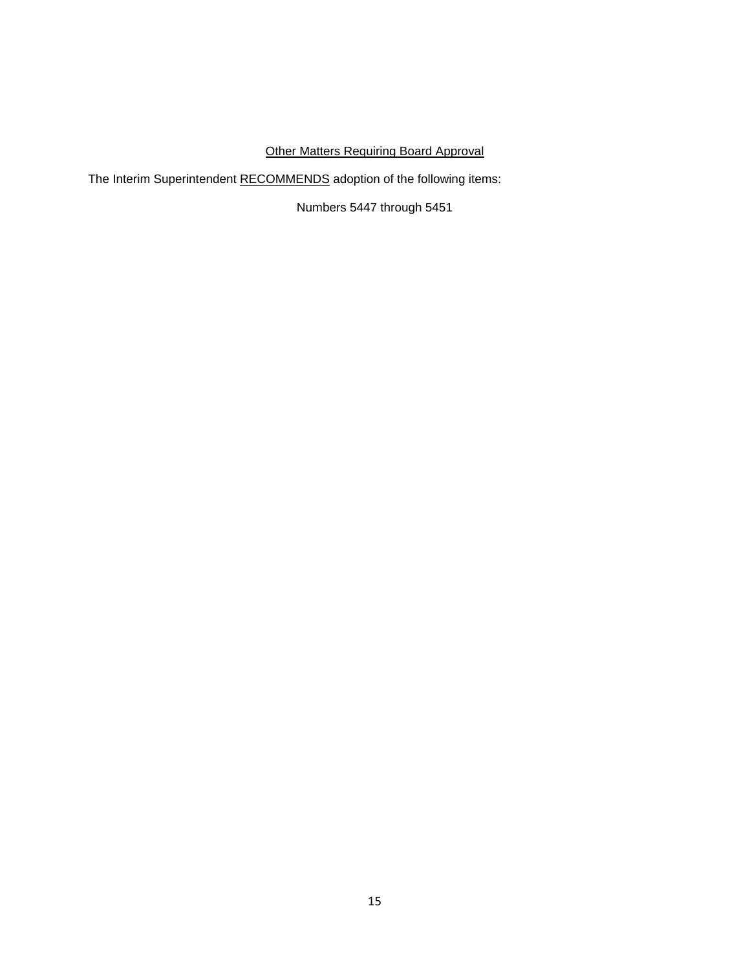# Other Matters Requiring Board Approval

The Interim Superintendent RECOMMENDS adoption of the following items:

Numbers 5447 through 5451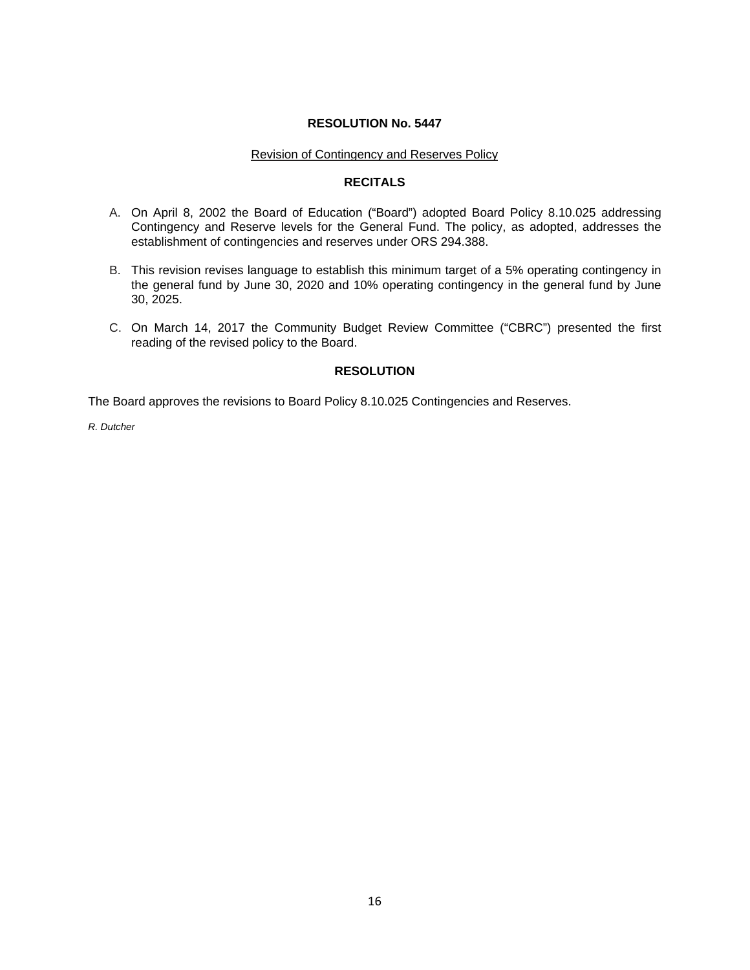#### Revision of Contingency and Reserves Policy

# **RECITALS**

- A. On April 8, 2002 the Board of Education ("Board") adopted Board Policy 8.10.025 addressing Contingency and Reserve levels for the General Fund. The policy, as adopted, addresses the establishment of contingencies and reserves under ORS 294.388.
- B. This revision revises language to establish this minimum target of a 5% operating contingency in the general fund by June 30, 2020 and 10% operating contingency in the general fund by June 30, 2025.
- C. On March 14, 2017 the Community Budget Review Committee ("CBRC") presented the first reading of the revised policy to the Board.

# **RESOLUTION**

The Board approves the revisions to Board Policy 8.10.025 Contingencies and Reserves.

*R. Dutcher*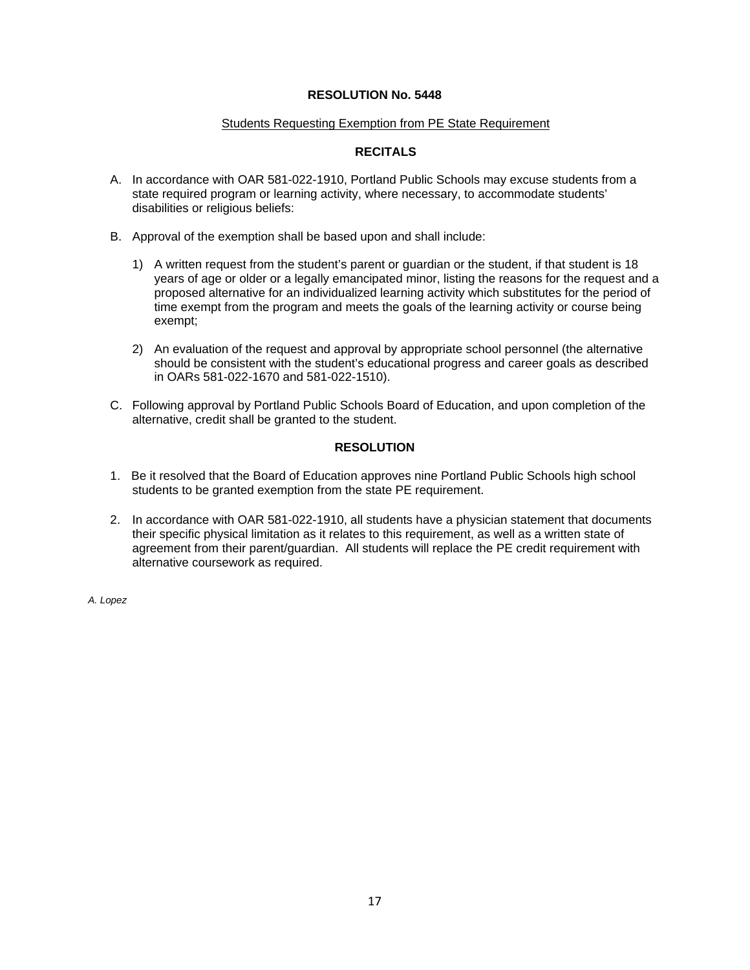#### Students Requesting Exemption from PE State Requirement

# **RECITALS**

- A. In accordance with OAR 581-022-1910, Portland Public Schools may excuse students from a state required program or learning activity, where necessary, to accommodate students' disabilities or religious beliefs:
- B. Approval of the exemption shall be based upon and shall include:
	- 1) A written request from the student's parent or guardian or the student, if that student is 18 years of age or older or a legally emancipated minor, listing the reasons for the request and a proposed alternative for an individualized learning activity which substitutes for the period of time exempt from the program and meets the goals of the learning activity or course being exempt;
	- 2) An evaluation of the request and approval by appropriate school personnel (the alternative should be consistent with the student's educational progress and career goals as described in OARs 581-022-1670 and 581-022-1510).
- C. Following approval by Portland Public Schools Board of Education, and upon completion of the alternative, credit shall be granted to the student.

# **RESOLUTION**

- 1. Be it resolved that the Board of Education approves nine Portland Public Schools high school students to be granted exemption from the state PE requirement.
- 2. In accordance with OAR 581-022-1910, all students have a physician statement that documents their specific physical limitation as it relates to this requirement, as well as a written state of agreement from their parent/guardian. All students will replace the PE credit requirement with alternative coursework as required.

*A. Lopez*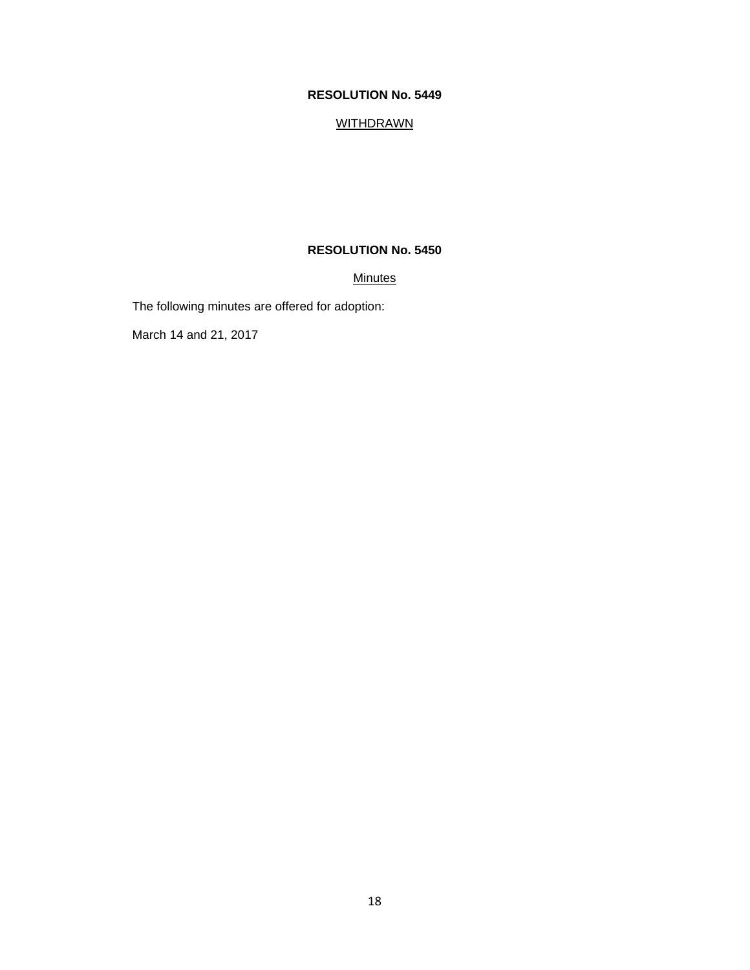# **WITHDRAWN**

# **RESOLUTION No. 5450**

# **Minutes**

The following minutes are offered for adoption:

March 14 and 21, 2017